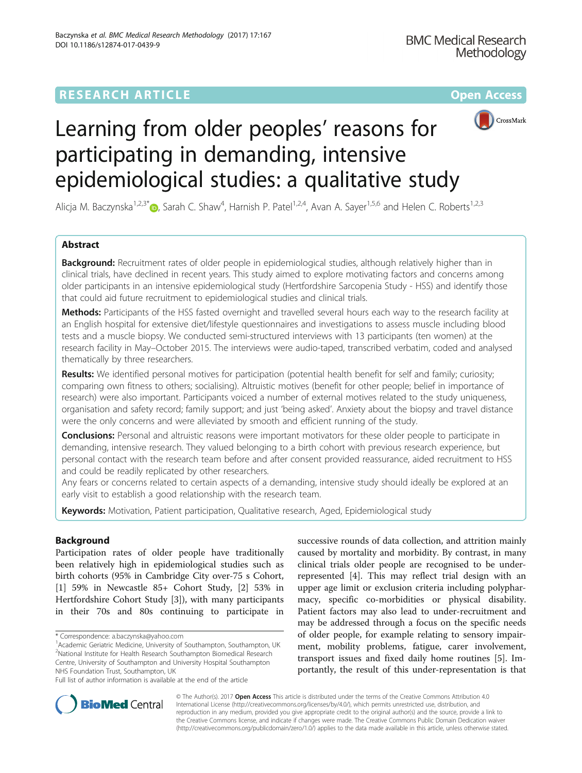# **RESEARCH ARTICLE External Structure Community Community Community Community Community Community Community Community**



# Learning from older peoples' reasons for participating in demanding, intensive epidemiological studies: a qualitative study

Alicja M. Baczynska<sup>1,2,3[\\*](http://orcid.org/0000-0001-7635-0371)</sup>®, Sarah C. Shaw<sup>4</sup>, Harnish P. Patel<sup>1,2,4</sup>, Avan A. Sayer<sup>1,5,6</sup> and Helen C. Roberts<sup>1,2,3</sup>

# Abstract

**Background:** Recruitment rates of older people in epidemiological studies, although relatively higher than in clinical trials, have declined in recent years. This study aimed to explore motivating factors and concerns among older participants in an intensive epidemiological study (Hertfordshire Sarcopenia Study - HSS) and identify those that could aid future recruitment to epidemiological studies and clinical trials.

Methods: Participants of the HSS fasted overnight and travelled several hours each way to the research facility at an English hospital for extensive diet/lifestyle questionnaires and investigations to assess muscle including blood tests and a muscle biopsy. We conducted semi-structured interviews with 13 participants (ten women) at the research facility in May–October 2015. The interviews were audio-taped, transcribed verbatim, coded and analysed thematically by three researchers.

Results: We identified personal motives for participation (potential health benefit for self and family; curiosity; comparing own fitness to others; socialising). Altruistic motives (benefit for other people; belief in importance of research) were also important. Participants voiced a number of external motives related to the study uniqueness, organisation and safety record; family support; and just 'being asked'. Anxiety about the biopsy and travel distance were the only concerns and were alleviated by smooth and efficient running of the study.

**Conclusions:** Personal and altruistic reasons were important motivators for these older people to participate in demanding, intensive research. They valued belonging to a birth cohort with previous research experience, but personal contact with the research team before and after consent provided reassurance, aided recruitment to HSS and could be readily replicated by other researchers.

Any fears or concerns related to certain aspects of a demanding, intensive study should ideally be explored at an early visit to establish a good relationship with the research team.

Keywords: Motivation, Patient participation, Qualitative research, Aged, Epidemiological study

# Background

Participation rates of older people have traditionally been relatively high in epidemiological studies such as birth cohorts (95% in Cambridge City over-75 s Cohort, [[1\]](#page-7-0) 59% in Newcastle 85+ Cohort Study, [[2](#page-7-0)] 53% in Hertfordshire Cohort Study [\[3](#page-8-0)]), with many participants in their 70s and 80s continuing to participate in

successive rounds of data collection, and attrition mainly caused by mortality and morbidity. By contrast, in many clinical trials older people are recognised to be underrepresented [[4\]](#page-8-0). This may reflect trial design with an upper age limit or exclusion criteria including polypharmacy, specific co-morbidities or physical disability. Patient factors may also lead to under-recruitment and may be addressed through a focus on the specific needs of older people, for example relating to sensory impairment, mobility problems, fatigue, carer involvement, transport issues and fixed daily home routines [\[5\]](#page-8-0). Importantly, the result of this under-representation is that



© The Author(s). 2017 **Open Access** This article is distributed under the terms of the Creative Commons Attribution 4.0 International License [\(http://creativecommons.org/licenses/by/4.0/](http://creativecommons.org/licenses/by/4.0/)), which permits unrestricted use, distribution, and reproduction in any medium, provided you give appropriate credit to the original author(s) and the source, provide a link to the Creative Commons license, and indicate if changes were made. The Creative Commons Public Domain Dedication waiver [\(http://creativecommons.org/publicdomain/zero/1.0/](http://creativecommons.org/publicdomain/zero/1.0/)) applies to the data made available in this article, unless otherwise stated.

<sup>\*</sup> Correspondence: [a.baczynska@yahoo.com](mailto:a.baczynska@yahoo.com) <sup>1</sup>

<sup>&</sup>lt;sup>1</sup> Academic Geriatric Medicine, University of Southampton, Southampton, UK <sup>2</sup>National Institute for Health Research Southampton Biomedical Research Centre, University of Southampton and University Hospital Southampton NHS Foundation Trust, Southampton, UK

Full list of author information is available at the end of the article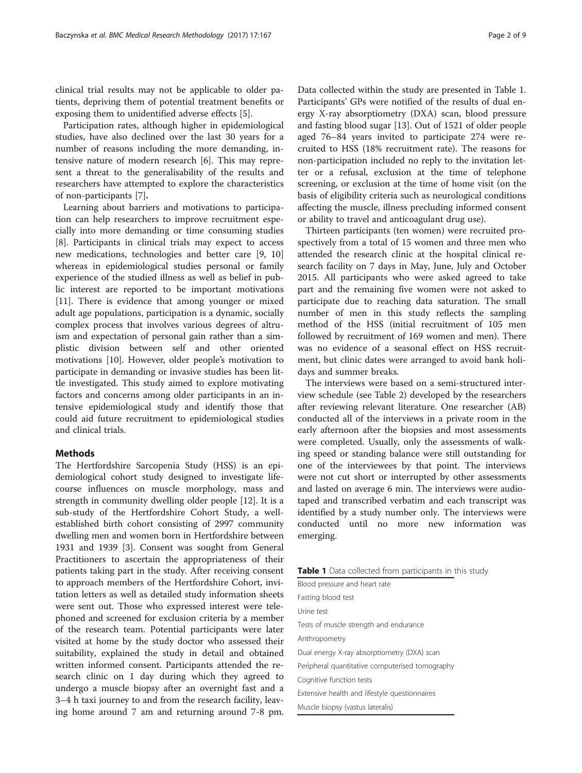clinical trial results may not be applicable to older patients, depriving them of potential treatment benefits or exposing them to unidentified adverse effects [\[5](#page-8-0)].

Participation rates, although higher in epidemiological studies, have also declined over the last 30 years for a number of reasons including the more demanding, intensive nature of modern research [\[6](#page-8-0)]. This may represent a threat to the generalisability of the results and researchers have attempted to explore the characteristics of non-participants [\[7](#page-8-0)].

Learning about barriers and motivations to participation can help researchers to improve recruitment especially into more demanding or time consuming studies [[8\]](#page-8-0). Participants in clinical trials may expect to access new medications, technologies and better care [\[9](#page-8-0), [10](#page-8-0)] whereas in epidemiological studies personal or family experience of the studied illness as well as belief in public interest are reported to be important motivations [[11\]](#page-8-0). There is evidence that among younger or mixed adult age populations, participation is a dynamic, socially complex process that involves various degrees of altruism and expectation of personal gain rather than a simplistic division between self and other oriented motivations [[10\]](#page-8-0). However, older people's motivation to participate in demanding or invasive studies has been little investigated. This study aimed to explore motivating factors and concerns among older participants in an intensive epidemiological study and identify those that could aid future recruitment to epidemiological studies and clinical trials.

# Methods

The Hertfordshire Sarcopenia Study (HSS) is an epidemiological cohort study designed to investigate lifecourse influences on muscle morphology, mass and strength in community dwelling older people [[12\]](#page-8-0). It is a sub-study of the Hertfordshire Cohort Study, a wellestablished birth cohort consisting of 2997 community dwelling men and women born in Hertfordshire between 1931 and 1939 [\[3](#page-8-0)]. Consent was sought from General Practitioners to ascertain the appropriateness of their patients taking part in the study. After receiving consent to approach members of the Hertfordshire Cohort, invitation letters as well as detailed study information sheets were sent out. Those who expressed interest were telephoned and screened for exclusion criteria by a member of the research team. Potential participants were later visited at home by the study doctor who assessed their suitability, explained the study in detail and obtained written informed consent. Participants attended the research clinic on 1 day during which they agreed to undergo a muscle biopsy after an overnight fast and a 3–4 h taxi journey to and from the research facility, leaving home around 7 am and returning around 7-8 pm.

Data collected within the study are presented in Table 1. Participants' GPs were notified of the results of dual energy X-ray absorptiometry (DXA) scan, blood pressure and fasting blood sugar [\[13](#page-8-0)]. Out of 1521 of older people aged 76–84 years invited to participate 274 were recruited to HSS (18% recruitment rate). The reasons for non-participation included no reply to the invitation letter or a refusal, exclusion at the time of telephone screening, or exclusion at the time of home visit (on the basis of eligibility criteria such as neurological conditions affecting the muscle, illness precluding informed consent or ability to travel and anticoagulant drug use).

Thirteen participants (ten women) were recruited prospectively from a total of 15 women and three men who attended the research clinic at the hospital clinical research facility on 7 days in May, June, July and October 2015. All participants who were asked agreed to take part and the remaining five women were not asked to participate due to reaching data saturation. The small number of men in this study reflects the sampling method of the HSS (initial recruitment of 105 men followed by recruitment of 169 women and men). There was no evidence of a seasonal effect on HSS recruitment, but clinic dates were arranged to avoid bank holidays and summer breaks.

The interviews were based on a semi-structured interview schedule (see Table [2](#page-2-0)) developed by the researchers after reviewing relevant literature. One researcher (AB) conducted all of the interviews in a private room in the early afternoon after the biopsies and most assessments were completed. Usually, only the assessments of walking speed or standing balance were still outstanding for one of the interviewees by that point. The interviews were not cut short or interrupted by other assessments and lasted on average 6 min. The interviews were audiotaped and transcribed verbatim and each transcript was identified by a study number only. The interviews were conducted until no more new information was emerging.

Table 1 Data collected from participants in this study

Blood pressure and heart rate Fasting blood test Urine test Tests of muscle strength and endurance Anthropometry Dual energy X-ray absorptiometry (DXA) scan Peripheral quantitative computerised tomography Cognitive function tests Extensive health and lifestyle questionnaires Muscle biopsy (vastus lateralis)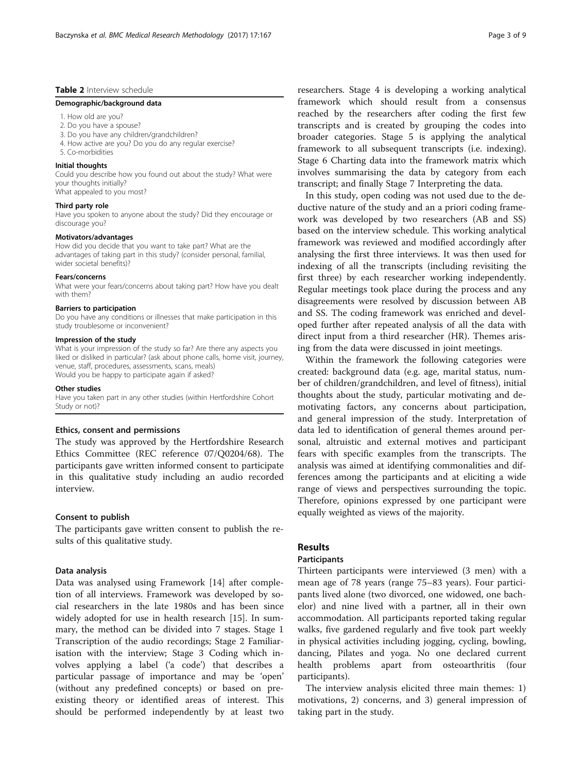# <span id="page-2-0"></span>Table 2 Interview schedule

# Demographic/background data

- 1. How old are you?
- 2. Do you have a spouse?
- 3. Do you have any children/grandchildren?
- 4. How active are you? Do you do any regular exercise?
- 5. Co-morbidities

# Initial thoughts

Could you describe how you found out about the study? What were your thoughts initially?

What appealed to you most?

# Third party role

Have you spoken to anyone about the study? Did they encourage or discourage you?

#### Motivators/advantages

How did you decide that you want to take part? What are the advantages of taking part in this study? (consider personal, familial, wider societal benefits)?

#### Fears/concerns

What were your fears/concerns about taking part? How have you dealt with them?

#### Barriers to participation

Do you have any conditions or illnesses that make participation in this study troublesome or inconvenient?

## Impression of the study

What is your impression of the study so far? Are there any aspects you liked or disliked in particular? (ask about phone calls, home visit, journey, venue, staff, procedures, assessments, scans, meals) Would you be happy to participate again if asked?

#### Other studies

Have you taken part in any other studies (within Hertfordshire Cohort Study or not)?

### Ethics, consent and permissions

The study was approved by the Hertfordshire Research Ethics Committee (REC reference 07/Q0204/68). The participants gave written informed consent to participate in this qualitative study including an audio recorded interview.

## Consent to publish

The participants gave written consent to publish the results of this qualitative study.

#### Data analysis

Data was analysed using Framework [\[14](#page-8-0)] after completion of all interviews. Framework was developed by social researchers in the late 1980s and has been since widely adopted for use in health research [\[15\]](#page-8-0). In summary, the method can be divided into 7 stages. Stage 1 Transcription of the audio recordings; Stage 2 Familiarisation with the interview; Stage 3 Coding which involves applying a label ('a code') that describes a particular passage of importance and may be 'open' (without any predefined concepts) or based on preexisting theory or identified areas of interest. This should be performed independently by at least two researchers. Stage 4 is developing a working analytical framework which should result from a consensus reached by the researchers after coding the first few transcripts and is created by grouping the codes into broader categories. Stage 5 is applying the analytical framework to all subsequent transcripts (i.e. indexing). Stage 6 Charting data into the framework matrix which involves summarising the data by category from each transcript; and finally Stage 7 Interpreting the data.

In this study, open coding was not used due to the deductive nature of the study and an a priori coding framework was developed by two researchers (AB and SS) based on the interview schedule. This working analytical framework was reviewed and modified accordingly after analysing the first three interviews. It was then used for indexing of all the transcripts (including revisiting the first three) by each researcher working independently. Regular meetings took place during the process and any disagreements were resolved by discussion between AB and SS. The coding framework was enriched and developed further after repeated analysis of all the data with direct input from a third researcher (HR). Themes arising from the data were discussed in joint meetings.

Within the framework the following categories were created: background data (e.g. age, marital status, number of children/grandchildren, and level of fitness), initial thoughts about the study, particular motivating and demotivating factors, any concerns about participation, and general impression of the study. Interpretation of data led to identification of general themes around personal, altruistic and external motives and participant fears with specific examples from the transcripts. The analysis was aimed at identifying commonalities and differences among the participants and at eliciting a wide range of views and perspectives surrounding the topic. Therefore, opinions expressed by one participant were equally weighted as views of the majority.

# Results

## **Participants**

Thirteen participants were interviewed (3 men) with a mean age of 78 years (range 75–83 years). Four participants lived alone (two divorced, one widowed, one bachelor) and nine lived with a partner, all in their own accommodation. All participants reported taking regular walks, five gardened regularly and five took part weekly in physical activities including jogging, cycling, bowling, dancing, Pilates and yoga. No one declared current health problems apart from osteoarthritis (four participants).

The interview analysis elicited three main themes: 1) motivations, 2) concerns, and 3) general impression of taking part in the study.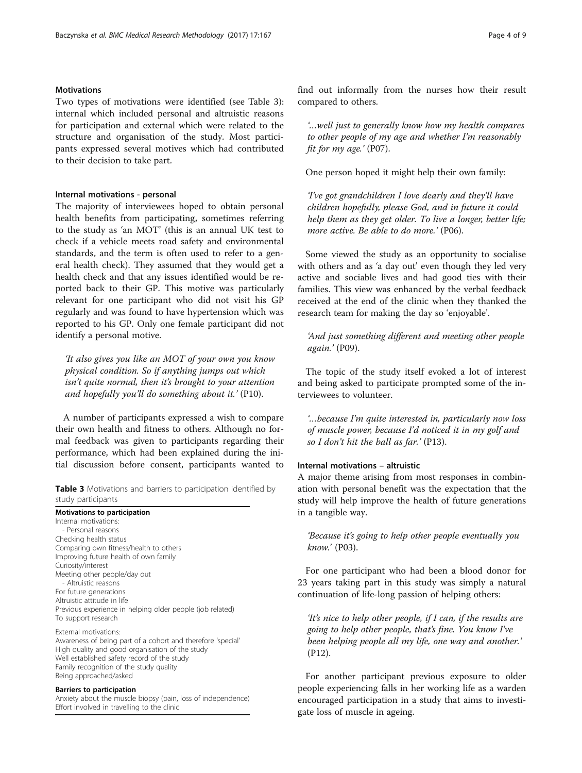# <span id="page-3-0"></span>**Motivations**

Two types of motivations were identified (see Table 3): internal which included personal and altruistic reasons for participation and external which were related to the structure and organisation of the study. Most participants expressed several motives which had contributed to their decision to take part.

# Internal motivations - personal

The majority of interviewees hoped to obtain personal health benefits from participating, sometimes referring to the study as 'an MOT' (this is an annual UK test to check if a vehicle meets road safety and environmental standards, and the term is often used to refer to a general health check). They assumed that they would get a health check and that any issues identified would be reported back to their GP. This motive was particularly relevant for one participant who did not visit his GP regularly and was found to have hypertension which was reported to his GP. Only one female participant did not identify a personal motive.

'It also gives you like an MOT of your own you know physical condition. So if anything jumps out which isn't quite normal, then it's brought to your attention and hopefully you'll do something about it.' (P10).

A number of participants expressed a wish to compare their own health and fitness to others. Although no formal feedback was given to participants regarding their performance, which had been explained during the initial discussion before consent, participants wanted to

Table 3 Motivations and barriers to participation identified by study participants

## Motivations to participation Internal motivations: - Personal reasons Checking health status Comparing own fitness/health to others Improving future health of own family Curiosity/interest Meeting other people/day out - Altruistic reasons For future generations Altruistic attitude in life Previous experience in helping older people (job related) To support research

External motivations:

Awareness of being part of a cohort and therefore 'special' High quality and good organisation of the study Well established safety record of the study Family recognition of the study quality Being approached/asked

## Barriers to participation

Anxiety about the muscle biopsy (pain, loss of independence) Effort involved in travelling to the clinic

find out informally from the nurses how their result compared to others.

'…well just to generally know how my health compares to other people of my age and whether I'm reasonably fit for my age.' (P07).

One person hoped it might help their own family:

'I've got grandchildren I love dearly and they'll have children hopefully, please God, and in future it could help them as they get older. To live a longer, better life; more active. Be able to do more.' (P06).

Some viewed the study as an opportunity to socialise with others and as 'a day out' even though they led very active and sociable lives and had good ties with their families. This view was enhanced by the verbal feedback received at the end of the clinic when they thanked the research team for making the day so 'enjoyable'.

'And just something different and meeting other people again.' (P09).

The topic of the study itself evoked a lot of interest and being asked to participate prompted some of the interviewees to volunteer.

'…because I'm quite interested in, particularly now loss of muscle power, because I'd noticed it in my golf and so I don't hit the ball as far.' (P13).

# Internal motivations – altruistic

A major theme arising from most responses in combination with personal benefit was the expectation that the study will help improve the health of future generations in a tangible way.

'Because it's going to help other people eventually you know.' (P03).

For one participant who had been a blood donor for 23 years taking part in this study was simply a natural continuation of life-long passion of helping others:

'It's nice to help other people, if I can, if the results are going to help other people, that's fine. You know I've been helping people all my life, one way and another.' (P12).

For another participant previous exposure to older people experiencing falls in her working life as a warden encouraged participation in a study that aims to investigate loss of muscle in ageing.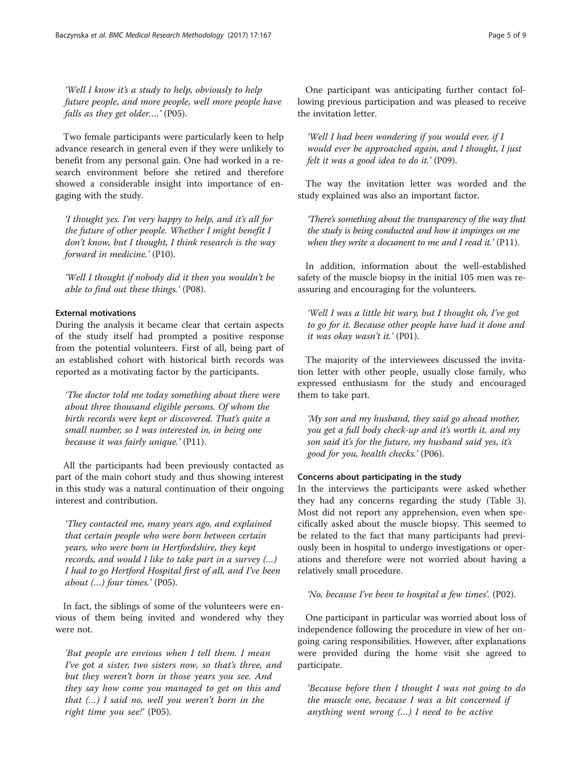'Well I know it's a study to help, obviously to help future people, and more people, well more people have falls as they get older….' (P05).

Two female participants were particularly keen to help advance research in general even if they were unlikely to benefit from any personal gain. One had worked in a research environment before she retired and therefore showed a considerable insight into importance of engaging with the study.

'I thought yes. I'm very happy to help, and it's all for the future of other people. Whether I might benefit I don't know, but I thought, I think research is the way forward in medicine.' (P10).

'Well I thought if nobody did it then you wouldn't be able to find out these things.' (P08).

# External motivations

During the analysis it became clear that certain aspects of the study itself had prompted a positive response from the potential volunteers. First of all, being part of an established cohort with historical birth records was reported as a motivating factor by the participants.

'The doctor told me today something about there were about three thousand eligible persons. Of whom the birth records were kept or discovered. That's quite a small number, so I was interested in, in being one because it was fairly unique.' (P11).

All the participants had been previously contacted as part of the main cohort study and thus showing interest in this study was a natural continuation of their ongoing interest and contribution.

'They contacted me, many years ago, and explained that certain people who were born between certain years, who were born in Hertfordshire, they kept records, and would I like to take part in a survey (…) I had to go Hertford Hospital first of all, and I've been about  $(...)$  four times.' (P05).

In fact, the siblings of some of the volunteers were envious of them being invited and wondered why they were not.

'But people are envious when I tell them. I mean I've got a sister, two sisters now, so that's three, and but they weren't born in those years you see. And they say how come you managed to get on this and that (…) I said no, well you weren't born in the right time you see!' (P05).

One participant was anticipating further contact following previous participation and was pleased to receive the invitation letter.

'Well I had been wondering if you would ever, if I would ever be approached again, and I thought, I just felt it was a good idea to do it.' (P09).

The way the invitation letter was worded and the study explained was also an important factor.

'There's something about the transparency of the way that the study is being conducted and how it impinges on me when they write a document to me and I read it.'  $(P11)$ .

In addition, information about the well-established safety of the muscle biopsy in the initial 105 men was reassuring and encouraging for the volunteers.

'Well I was a little bit wary, but I thought oh, I've got to go for it. Because other people have had it done and it was okay wasn't it.' (P01).

The majority of the interviewees discussed the invitation letter with other people, usually close family, who expressed enthusiasm for the study and encouraged them to take part.

'My son and my husband, they said go ahead mother, you get a full body check-up and it's worth it, and my son said it's for the future, my husband said yes, it's good for you, health checks.' (P06).

# Concerns about participating in the study

In the interviews the participants were asked whether they had any concerns regarding the study (Table [3](#page-3-0)). Most did not report any apprehension, even when specifically asked about the muscle biopsy. This seemed to be related to the fact that many participants had previously been in hospital to undergo investigations or operations and therefore were not worried about having a relatively small procedure.

'No, because I've been to hospital a few times'. (P02).

One participant in particular was worried about loss of independence following the procedure in view of her ongoing caring responsibilities. However, after explanations were provided during the home visit she agreed to participate.

'Because before then I thought I was not going to do the muscle one, because I was a bit concerned if anything went wrong  $(...)$  I need to be active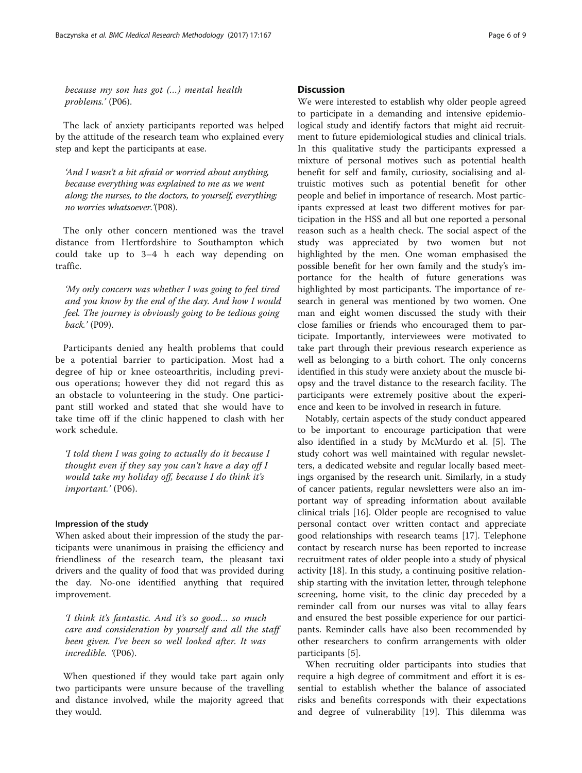because my son has got (…) mental health problems.' (P06).

The lack of anxiety participants reported was helped by the attitude of the research team who explained every step and kept the participants at ease.

'And I wasn't a bit afraid or worried about anything, because everything was explained to me as we went along; the nurses, to the doctors, to yourself, everything; no worries whatsoever.'(P08).

The only other concern mentioned was the travel distance from Hertfordshire to Southampton which could take up to 3–4 h each way depending on traffic.

'My only concern was whether I was going to feel tired and you know by the end of the day. And how I would feel. The journey is obviously going to be tedious going back.' (P09).

Participants denied any health problems that could be a potential barrier to participation. Most had a degree of hip or knee osteoarthritis, including previous operations; however they did not regard this as an obstacle to volunteering in the study. One participant still worked and stated that she would have to take time off if the clinic happened to clash with her work schedule.

'I told them I was going to actually do it because I thought even if they say you can't have a day off I would take my holiday off, because I do think it's important.' (P06).

# Impression of the study

When asked about their impression of the study the participants were unanimous in praising the efficiency and friendliness of the research team, the pleasant taxi drivers and the quality of food that was provided during the day. No-one identified anything that required improvement.

'I think it's fantastic. And it's so good… so much care and consideration by yourself and all the staff been given. I've been so well looked after. It was incredible. '(P06).

When questioned if they would take part again only two participants were unsure because of the travelling and distance involved, while the majority agreed that they would.

# **Discussion**

We were interested to establish why older people agreed to participate in a demanding and intensive epidemiological study and identify factors that might aid recruitment to future epidemiological studies and clinical trials. In this qualitative study the participants expressed a mixture of personal motives such as potential health benefit for self and family, curiosity, socialising and altruistic motives such as potential benefit for other people and belief in importance of research. Most participants expressed at least two different motives for participation in the HSS and all but one reported a personal reason such as a health check. The social aspect of the study was appreciated by two women but not highlighted by the men. One woman emphasised the possible benefit for her own family and the study's importance for the health of future generations was highlighted by most participants. The importance of research in general was mentioned by two women. One man and eight women discussed the study with their close families or friends who encouraged them to participate. Importantly, interviewees were motivated to take part through their previous research experience as well as belonging to a birth cohort. The only concerns identified in this study were anxiety about the muscle biopsy and the travel distance to the research facility. The participants were extremely positive about the experience and keen to be involved in research in future.

Notably, certain aspects of the study conduct appeared to be important to encourage participation that were also identified in a study by McMurdo et al. [\[5](#page-8-0)]. The study cohort was well maintained with regular newsletters, a dedicated website and regular locally based meetings organised by the research unit. Similarly, in a study of cancer patients, regular newsletters were also an important way of spreading information about available clinical trials [\[16](#page-8-0)]. Older people are recognised to value personal contact over written contact and appreciate good relationships with research teams [\[17\]](#page-8-0). Telephone contact by research nurse has been reported to increase recruitment rates of older people into a study of physical activity [\[18\]](#page-8-0). In this study, a continuing positive relationship starting with the invitation letter, through telephone screening, home visit, to the clinic day preceded by a reminder call from our nurses was vital to allay fears and ensured the best possible experience for our participants. Reminder calls have also been recommended by other researchers to confirm arrangements with older participants [[5\]](#page-8-0).

When recruiting older participants into studies that require a high degree of commitment and effort it is essential to establish whether the balance of associated risks and benefits corresponds with their expectations and degree of vulnerability [[19\]](#page-8-0). This dilemma was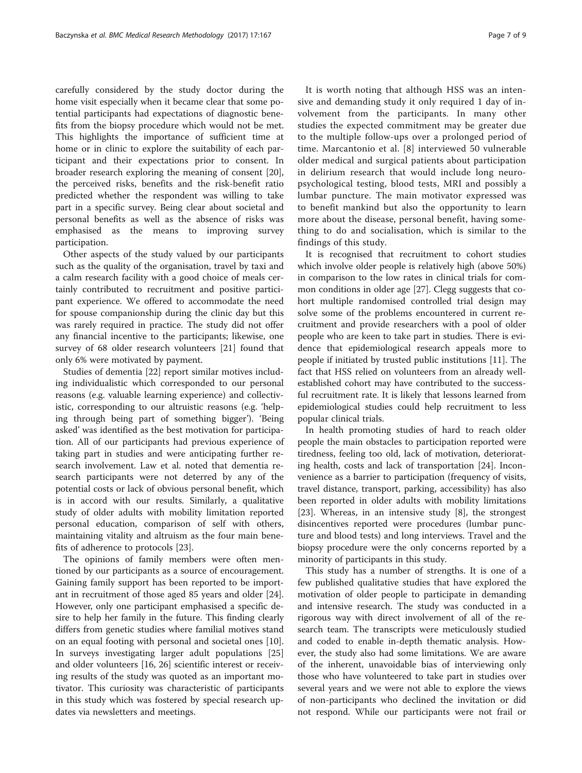carefully considered by the study doctor during the home visit especially when it became clear that some potential participants had expectations of diagnostic benefits from the biopsy procedure which would not be met. This highlights the importance of sufficient time at home or in clinic to explore the suitability of each participant and their expectations prior to consent. In broader research exploring the meaning of consent [\[20](#page-8-0)], the perceived risks, benefits and the risk-benefit ratio predicted whether the respondent was willing to take part in a specific survey. Being clear about societal and personal benefits as well as the absence of risks was emphasised as the means to improving survey participation.

Other aspects of the study valued by our participants such as the quality of the organisation, travel by taxi and a calm research facility with a good choice of meals certainly contributed to recruitment and positive participant experience. We offered to accommodate the need for spouse companionship during the clinic day but this was rarely required in practice. The study did not offer any financial incentive to the participants; likewise, one survey of 68 older research volunteers [[21](#page-8-0)] found that only 6% were motivated by payment.

Studies of dementia [[22\]](#page-8-0) report similar motives including individualistic which corresponded to our personal reasons (e.g. valuable learning experience) and collectivistic, corresponding to our altruistic reasons (e.g. 'helping through being part of something bigger'). 'Being asked' was identified as the best motivation for participation. All of our participants had previous experience of taking part in studies and were anticipating further research involvement. Law et al. noted that dementia research participants were not deterred by any of the potential costs or lack of obvious personal benefit, which is in accord with our results. Similarly, a qualitative study of older adults with mobility limitation reported personal education, comparison of self with others, maintaining vitality and altruism as the four main benefits of adherence to protocols [\[23\]](#page-8-0).

The opinions of family members were often mentioned by our participants as a source of encouragement. Gaining family support has been reported to be important in recruitment of those aged 85 years and older [\[24](#page-8-0)]. However, only one participant emphasised a specific desire to help her family in the future. This finding clearly differs from genetic studies where familial motives stand on an equal footing with personal and societal ones [\[10](#page-8-0)]. In surveys investigating larger adult populations [[25](#page-8-0)] and older volunteers [[16](#page-8-0), [26](#page-8-0)] scientific interest or receiving results of the study was quoted as an important motivator. This curiosity was characteristic of participants in this study which was fostered by special research updates via newsletters and meetings.

It is worth noting that although HSS was an intensive and demanding study it only required 1 day of involvement from the participants. In many other studies the expected commitment may be greater due to the multiple follow-ups over a prolonged period of time. Marcantonio et al. [[8](#page-8-0)] interviewed 50 vulnerable older medical and surgical patients about participation in delirium research that would include long neuropsychological testing, blood tests, MRI and possibly a lumbar puncture. The main motivator expressed was to benefit mankind but also the opportunity to learn more about the disease, personal benefit, having something to do and socialisation, which is similar to the findings of this study.

It is recognised that recruitment to cohort studies which involve older people is relatively high (above 50%) in comparison to the low rates in clinical trials for common conditions in older age [\[27\]](#page-8-0). Clegg suggests that cohort multiple randomised controlled trial design may solve some of the problems encountered in current recruitment and provide researchers with a pool of older people who are keen to take part in studies. There is evidence that epidemiological research appeals more to people if initiated by trusted public institutions [\[11](#page-8-0)]. The fact that HSS relied on volunteers from an already wellestablished cohort may have contributed to the successful recruitment rate. It is likely that lessons learned from epidemiological studies could help recruitment to less popular clinical trials.

In health promoting studies of hard to reach older people the main obstacles to participation reported were tiredness, feeling too old, lack of motivation, deteriorating health, costs and lack of transportation [\[24](#page-8-0)]. Inconvenience as a barrier to participation (frequency of visits, travel distance, transport, parking, accessibility) has also been reported in older adults with mobility limitations [[23\]](#page-8-0). Whereas, in an intensive study [[8\]](#page-8-0), the strongest disincentives reported were procedures (lumbar puncture and blood tests) and long interviews. Travel and the biopsy procedure were the only concerns reported by a minority of participants in this study.

This study has a number of strengths. It is one of a few published qualitative studies that have explored the motivation of older people to participate in demanding and intensive research. The study was conducted in a rigorous way with direct involvement of all of the research team. The transcripts were meticulously studied and coded to enable in-depth thematic analysis. However, the study also had some limitations. We are aware of the inherent, unavoidable bias of interviewing only those who have volunteered to take part in studies over several years and we were not able to explore the views of non-participants who declined the invitation or did not respond. While our participants were not frail or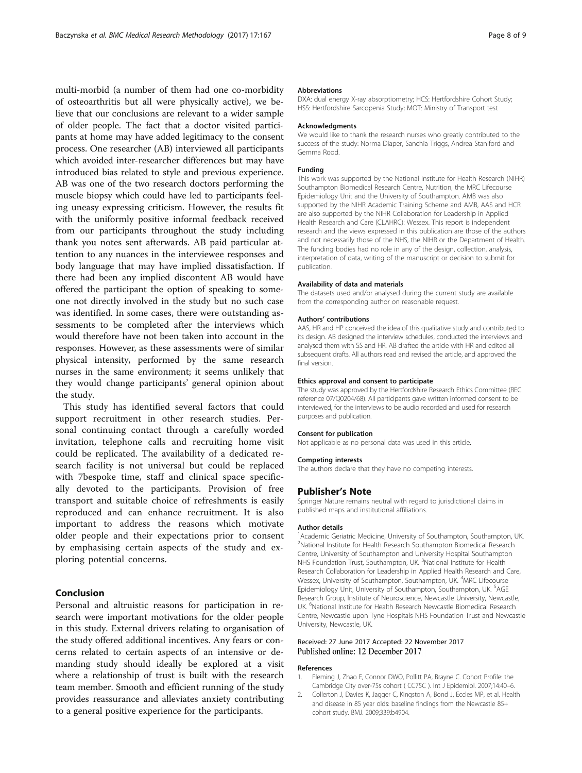<span id="page-7-0"></span>multi-morbid (a number of them had one co-morbidity of osteoarthritis but all were physically active), we believe that our conclusions are relevant to a wider sample of older people. The fact that a doctor visited participants at home may have added legitimacy to the consent process. One researcher (AB) interviewed all participants which avoided inter-researcher differences but may have introduced bias related to style and previous experience. AB was one of the two research doctors performing the muscle biopsy which could have led to participants feeling uneasy expressing criticism. However, the results fit with the uniformly positive informal feedback received from our participants throughout the study including thank you notes sent afterwards. AB paid particular attention to any nuances in the interviewee responses and body language that may have implied dissatisfaction. If there had been any implied discontent AB would have offered the participant the option of speaking to someone not directly involved in the study but no such case was identified. In some cases, there were outstanding assessments to be completed after the interviews which would therefore have not been taken into account in the responses. However, as these assessments were of similar physical intensity, performed by the same research nurses in the same environment; it seems unlikely that they would change participants' general opinion about the study.

This study has identified several factors that could support recruitment in other research studies. Personal continuing contact through a carefully worded invitation, telephone calls and recruiting home visit could be replicated. The availability of a dedicated research facility is not universal but could be replaced with 7bespoke time, staff and clinical space specifically devoted to the participants. Provision of free transport and suitable choice of refreshments is easily reproduced and can enhance recruitment. It is also important to address the reasons which motivate older people and their expectations prior to consent by emphasising certain aspects of the study and exploring potential concerns.

# Conclusion

Personal and altruistic reasons for participation in research were important motivations for the older people in this study. External drivers relating to organisation of the study offered additional incentives. Any fears or concerns related to certain aspects of an intensive or demanding study should ideally be explored at a visit where a relationship of trust is built with the research team member. Smooth and efficient running of the study provides reassurance and alleviates anxiety contributing to a general positive experience for the participants.

#### Abbreviations

DXA: dual energy X-ray absorptiometry; HCS: Hertfordshire Cohort Study; HSS: Hertfordshire Sarcopenia Study; MOT: Ministry of Transport test

#### Acknowledgments

We would like to thank the research nurses who greatly contributed to the success of the study: Norma Diaper, Sanchia Triggs, Andrea Staniford and Gemma Rood.

#### Funding

This work was supported by the National Institute for Health Research (NIHR) Southampton Biomedical Research Centre, Nutrition, the MRC Lifecourse Epidemiology Unit and the University of Southampton. AMB was also supported by the NIHR Academic Training Scheme and AMB, AAS and HCR are also supported by the NIHR Collaboration for Leadership in Applied Health Research and Care (CLAHRC): Wessex. This report is independent research and the views expressed in this publication are those of the authors and not necessarily those of the NHS, the NIHR or the Department of Health. The funding bodies had no role in any of the design, collection, analysis, interpretation of data, writing of the manuscript or decision to submit for publication.

#### Availability of data and materials

The datasets used and/or analysed during the current study are available from the corresponding author on reasonable request.

#### Authors' contributions

AAS, HR and HP conceived the idea of this qualitative study and contributed to its design. AB designed the interview schedules, conducted the interviews and analysed them with SS and HR. AB drafted the article with HR and edited all subsequent drafts. All authors read and revised the article, and approved the final version.

#### Ethics approval and consent to participate

The study was approved by the Hertfordshire Research Ethics Committee (REC reference 07/Q0204/68). All participants gave written informed consent to be interviewed, for the interviews to be audio recorded and used for research purposes and publication.

#### Consent for publication

Not applicable as no personal data was used in this article.

#### Competing interests

The authors declare that they have no competing interests.

#### Publisher's Note

Springer Nature remains neutral with regard to jurisdictional claims in published maps and institutional affiliations.

#### Author details

<sup>1</sup> Academic Geriatric Medicine, University of Southampton, Southampton, UK 2 National Institute for Health Research Southampton Biomedical Research Centre, University of Southampton and University Hospital Southampton NHS Foundation Trust, Southampton, UK.<sup>3</sup>National Institute for Health Research Collaboration for Leadership in Applied Health Research and Care, Wessex, University of Southampton, Southampton, UK. <sup>4</sup>MRC Lifecourse Epidemiology Unit, University of Southampton, Southampton, UK. <sup>5</sup>AGE Research Group, Institute of Neuroscience, Newcastle University, Newcastle, UK. <sup>6</sup>National Institute for Health Research Newcastle Biomedical Research Centre, Newcastle upon Tyne Hospitals NHS Foundation Trust and Newcastle University, Newcastle, UK.

# Received: 27 June 2017 Accepted: 22 November 2017 Published online: 12 December 2017

#### References

- 1. Fleming J, Zhao E, Connor DWO, Pollitt PA, Brayne C. Cohort Profile: the Cambridge City over-75s cohort ( CC75C ). Int J Epidemiol. 2007;14:40–6.
- 2. Collerton J, Davies K, Jagger C, Kingston A, Bond J, Eccles MP, et al. Health and disease in 85 year olds: baseline findings from the Newcastle 85+ cohort study. BMJ. 2009;339:b4904.